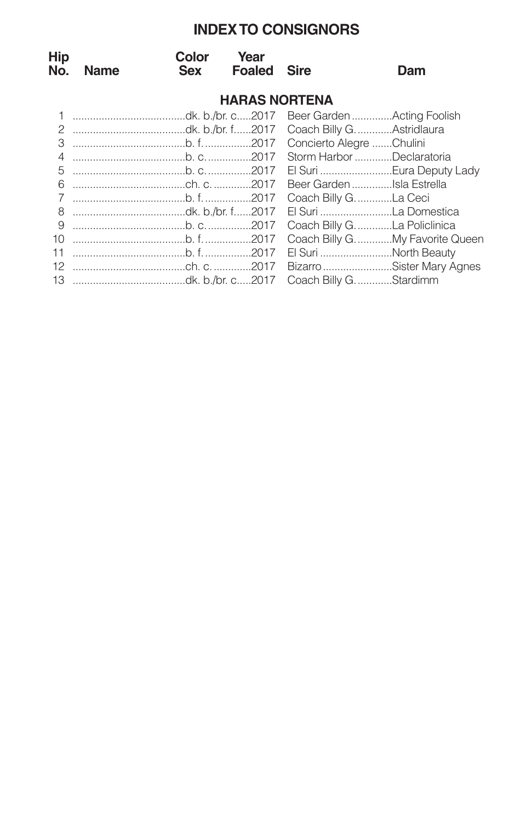# **INDEXTO CONSIGNORS**

| Hip<br>No.           | <b>Name</b> | Color<br>Sex | Year<br><b>Foaled</b> | Sire | Dam                              |  |  |  |  |
|----------------------|-------------|--------------|-----------------------|------|----------------------------------|--|--|--|--|
| <b>HARAS NORTENA</b> |             |              |                       |      |                                  |  |  |  |  |
|                      |             |              |                       |      |                                  |  |  |  |  |
|                      |             |              |                       |      |                                  |  |  |  |  |
| 3                    |             |              |                       |      |                                  |  |  |  |  |
| $\overline{4}$       |             |              |                       |      |                                  |  |  |  |  |
| 5                    |             |              |                       |      |                                  |  |  |  |  |
| 6                    |             |              |                       |      |                                  |  |  |  |  |
| $\overline{7}$       |             |              |                       |      |                                  |  |  |  |  |
|                      |             |              |                       |      |                                  |  |  |  |  |
| 9                    |             |              |                       |      | Coach Billy G. La Policlinica    |  |  |  |  |
| 10 <sup>1</sup>      |             |              |                       |      | Coach Billy G. My Favorite Queen |  |  |  |  |
| 11                   |             |              |                       |      | El Suri North Beauty             |  |  |  |  |
| 12                   |             |              |                       |      |                                  |  |  |  |  |
|                      |             |              |                       |      |                                  |  |  |  |  |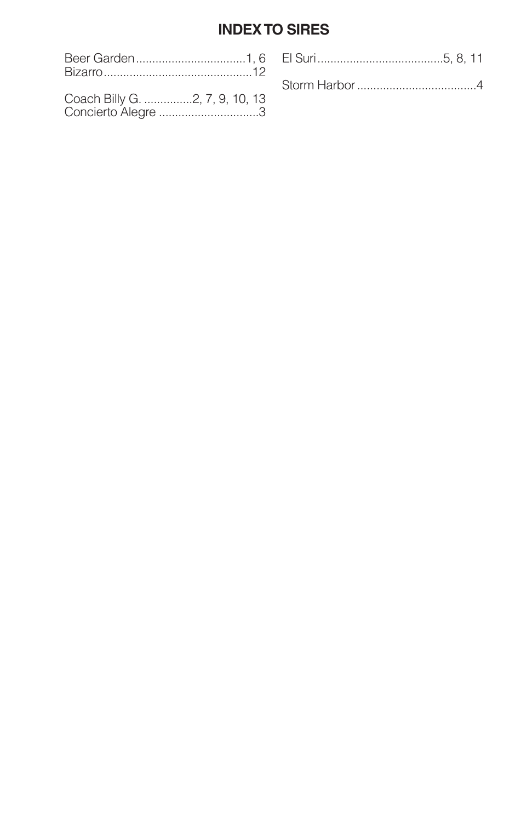# **INDEX TO SIRES**

| Bizarro                                              |  |
|------------------------------------------------------|--|
| Coach Billy G. 2, 7, 9, 10, 13<br>Concierto Alegre 3 |  |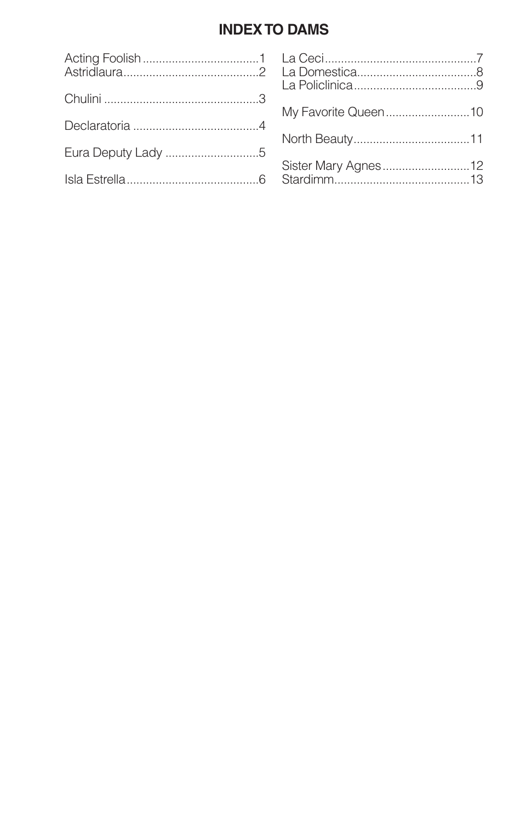# **INDEX TO DAMS**

|                    | My Favorite Queen10 |
|--------------------|---------------------|
|                    |                     |
| Eura Deputy Lady 5 |                     |
|                    | Sister Mary Agnes12 |
|                    |                     |
|                    |                     |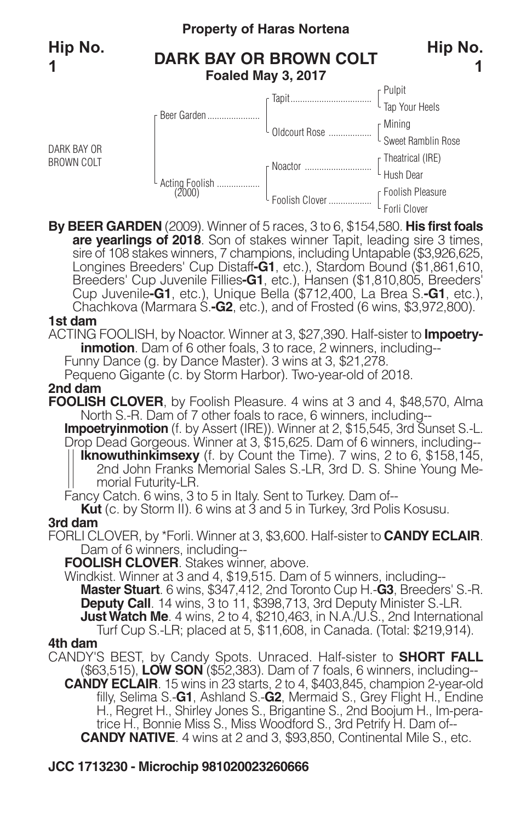DARK BAY OR BROWN COLT

# **Property of Haras Nortena**

# **DARK BAY OR BROWN COLT Foaled May 3, 2017**



**By BEER GARDEN** (2009). Winner of 5 races, 3 to 6, \$154,580. **His first foals** sire of 108 stakes winners, 7 champions, including Untapable (\$3,926,625, Longines Breeders' Cup Distaff-**G1**, etc.), Stardom Bound (\$1,861,610, Breeders' Cup Juvenile Fillies-**G1**, etc.), Hansen (\$1,810,805, Breeders' Cup Juvenile**-G1**, etc.), Unique Bella (\$712,400, La Brea S.**-G1**, etc.), Chachkova (Marmara S.**-G2**, etc.), and of Frosted (6 wins, \$3,972,800).

#### **1st dam**

ACTING FOOLISH, by Noactor. Winner at 3, \$27,390. Half-sister to **Impoetryinmotion**. Dam of 6 other foals, 3 to race, 2 winners, including--Funny Dance (g. by Dance Master). 3 wins at 3, \$21,278.

Pequeno Gigante (c. by Storm Harbor). Two-year-old of 2018.

#### **2nd dam**

**FOOLISH CLOVER**, by Foolish Pleasure. 4 wins at 3 and 4, \$48,570, Alma North S.-R. Dam of 7 other foals to race, 6 winners, including--

**Impoetryinmotion** (f. by Assert (IRE)). Winner at 2, \$15,545, 3rd Sunset S.-L. Drop Dead Gorgeous. Winner at 3, \$15,625. Dam of 6 winners, including-- **Iknowuthinkimsexy** (f. by Count the Time). 7 wins, 2 to 6, \$158,145, 2nd John Franks Memorial Sales S.-LR, 3rd D. S. Shine Young Memorial Futurity-LR.

Fancy Catch. 6 wins, 3 to 5 in Italy. Sent to Turkey. Dam of--

**Kut** (c. by Storm II). 6 wins at 3 and 5 in Turkey, 3rd Polis Kosusu.

#### **3rd dam**

FORLI CLOVER, by \*Forli. Winner at 3, \$3,600. Half-sister to **CANDY ECLAIR**. Dam of 6 winners, including--

**FOOLISH CLOVER**. Stakes winner, above.

Windkist. Winner at 3 and 4, \$19,515. Dam of 5 winners, including-- **Master Stuart**. 6 wins, \$347,412, 2nd Toronto Cup H.-**G3**, Breeders' S.-R. **Deputy Call**. 14 wins, 3 to 11, \$398,713, 3rd Deputy Minister S.-LR. **JustWatch Me**. 4 wins, 2 to 4, \$210,463, in N.A./U.S., 2nd International Turf Cup S.-LR; placed at 5, \$11,608, in Canada. (Total: \$219,914).

#### **4th dam**

CANDY'S BEST, by Candy Spots. Unraced. Half-sister to **SHORT FALL** (\$63,515), **LOW SON** (\$52,383). Dam of 7 foals, 6 winners, including-- **CANDY ECLAIR**. 15 wins in 23 starts, 2 to 4, \$403,845, champion 2-year-old filly, Selima S.-**G1**, Ashland S.-**G2**, Mermaid S., Grey Flight H., Endine H., Regret H., Shirley Jones S., Brigantine S., 2nd Boojum H., Im-pera trice H., Bonnie Miss S., Miss Woodford S., 3rd Petrify H. Dam of-- **CANDY NATIVE**. 4 wins at 2 and 3, \$93,850, Continental Mile S., etc.

### **JCC 1713230 - Microchip 981020023260666**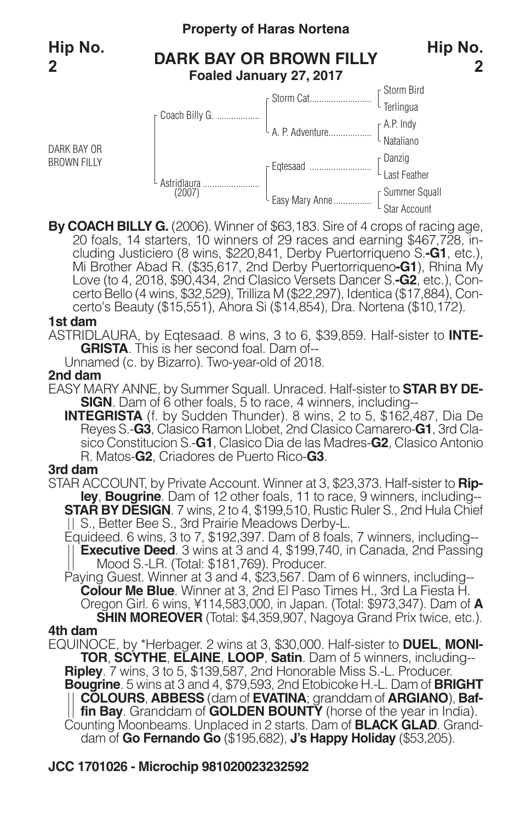DARK BAY OR BROWN FILLY

### **Property of Haras Nortena**

# **DARK BAY OR BROWN FILLY Foaled January 27, 2017**



By COACH BILLY G. (2006). Winner of \$63,183. Sire of 4 crops of racing age,<br>20 foals, 14 starters, 10 winners of 29 races and earning \$467,728, in-<br>cluding Justiciero (8 wins, \$220,841, Derby Puertorriqueno S.-G1, etc.),<br>M Love (to 4, 2018, \$90,434, 2nd Clasico Versets Dancer S.**-G2**, etc.), Concerto Bello (4 wins, \$32,529), Trilliza M (\$22,297), Identica (\$17,884), Concerto's Beauty (\$15,551), Ahora Si (\$14,854), Dra. Nortena (\$10,172).

#### **1st dam**

ASTRIDLAURA, by Eqtesaad. 8 wins, 3 to 6, \$39,859. Half-sister to **INTE-**

Unnamed (c. by Bizarro). Two-year-old of 2018.

#### **2nd dam**

- EASY MARY ANNE, by Summer Squall. Unraced. Half-sister to **STAR BY DE-SIGN**. Dam of 6 other foals, 5 to race, 4 winners, including--
	- **INTEGRISTA** (f. by Sudden Thunder). 8 wins, 2 to 5, \$162,487, Dia De Reyes S.-**G3**, Clasico Ramon Llobet, 2nd Clasico Camarero-**G1**, 3rd Clasico Constitucion S.-**G1**, Clasico Dia de las Madres-**G2**, Clasico Antonio R. Matos-**G2**, Criadores de Puerto Rico-**G3**.

#### **3rd dam**

- STAR ACCOUNT, by Private Account. Winner at 3, \$23,373. Half-sister to **Ripley**, **Bougrine**. Dam of 12 other foals, 11 to race, 9 winners, including-- **STAR BY DESIGN**. 7 wins, 2 to 4, \$199,510, Rustic Ruler S., 2nd Hula Chief S., Better Bee S., 3rd Prairie Meadows Derby-L.
	- Equideed. 6 wins, 3 to 7, \$192,397. Dam of 8 foals, 7 winners, including-- **Executive Deed**. 3 wins at 3 and 4, \$199,740, in Canada, 2nd Passing Mood S.-LR. (Total: \$181,769). Producer.
	- Paying Guest. Winner at 3 and 4, \$23,567. Dam of 6 winners, including-- **Colour Me Blue**. Winner at 3, 2nd El Paso Times H., 3rd La Fiesta H. Oregon Girl. <sup>6</sup> wins, ¥114,583,000, in Japan. (Total: \$973,347). Dam of **<sup>A</sup> SHIN MOREOVER** (Total: \$4,359,907, Nagoya Grand Prix twice, etc.).

#### **4th dam**

EQUINOCE, by \*Herbager. 2 wins at 3, \$30,000. Half-sister to **DUEL**, **MONI-TOR**, **SCYTHE**, **ELAINE**, **LOOP**, **Satin**. Dam of 5 winners, including-- **Ripley**. 7 wins, 3 to 5, \$139,587, 2nd Honorable Miss S.-L. Producer. **Bougrine**. 5 wins at 3 and 4, \$79,593, 2nd Etobicoke H.-L. Dam of **BRIGHT COLOURS**, **ABBESS** (dam of **EVATINA**; granddam of **ARGIANO**), **Baffin Bay**. Granddam of **GOLDEN BOUNTY** (horse of the year in India). Counting Moonbeams. Unplaced in <sup>2</sup> starts. Dam of **BLACK GLAD**. Granddam of **Go Fernando Go** (\$195,682), **J's Happy Holiday** (\$53,205).

### **JCC 1701026 - Microchip 981020023232592**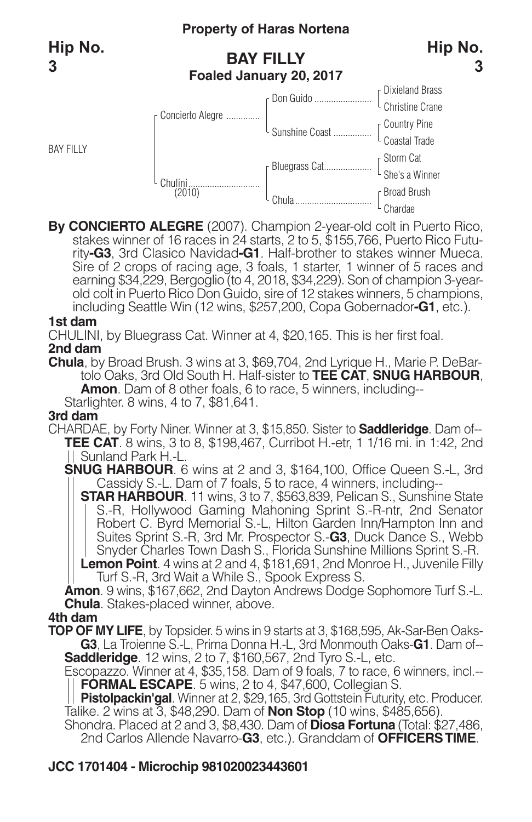# **Property of Haras Nortena**

# **BAY FILLY Foaled January 20, 2017**



# By CONCIERTO ALEGRE (2007). Champion 2-year-old colt in Puerto Rico,<br>stakes winner of 16 races in 24 starts, 2 to 5, \$155,766, Puerto Rico Futu-<br>rity-G3, 3rd Clasico Navidad-G1. Half-brother to stakes winner Mueca. Sire of 2 crops of racing age, 3 foals, 1 starter, 1 winner of 5 races and earning \$34,229, Bergoglio (to 4, 2018, \$34,229). Son of champion 3-yearold colt in Puerto Rico Don Guido, sire of 12 stakes winners, 5 champions, including Seattle Win (12 wins, \$257,200, Copa Gobernador**-G1**, etc.).

#### **1st dam**

CHULINI, by Bluegrass Cat. Winner at 4, \$20,165. This is her first foal. **2nd dam**

**Chula**, by Broad Brush. 3 wins at 3, \$69,704, 2nd Lyrique H., Marie P. DeBartolo Oaks, 3rd Old South H. Half-sister to **TEE CAT**, **SNUG HARBOUR**, **Amon**. Dam of 8 other foals, 6 to race, 5 winners, including--

Starlighter. 8 wins, 4 to 7, \$81,641.

#### **3rd dam**

CHARDAE, by Forty Niner. Winner at 3, \$15,850. Sister to **Saddleridge**. Dam of-- **TEE CAT**. 8 wins, 3 to 8, \$198,467, Curribot H.-etr, 1 1/16 mi. in 1:42, 2nd Sunland Park H.-L.

**SNUG HARBOUR**. 6 wins at 2 and 3, \$164,100, Office Queen S.-L, 3rd Cassidy S.-L. Dam of 7 foals, 5 to race, 4 winners, including--

**STAR HARBOUR**. 11 wins, 3 to 7, \$563,839, Pelican S., Sunshine State S.-R, Hollywood Gaming Mahoning Sprint S.-R-ntr, 2nd Senator Robert C. Byrd Memorial S.-L, Hilton Garden Inn/Hampton Inn and Suites Sprint S.-R, 3rd Mr. Prospector S.-**G3**, Duck Dance S., Webb Snyder Charles Town Dash S., Florida Sunshine Millions Sprint S.-R.

**Lemon Point**. 4 wins at 2 and 4, \$181,691, 2nd Monroe H., Juvenile Filly Turf S.-R, 3rd Wait a While S., Spook Express S.

**Amon**. 9 wins, \$167,662, 2nd Dayton Andrews Dodge Sophomore Turf S.-L. **Chula**. Stakes-placed winner, above.

#### **4th dam**

**TOP OF MY LIFE**, by Topsider. 5 wins in 9 starts at 3, \$168,595, Ak-Sar-Ben Oaks-**G3**, La Troienne S.-L, Prima Donna H.-L, 3rd Monmouth Oaks-G1. Dam of--<br>Saddleridge. 12 wins, 2 to 7, \$160,567, 2nd Tyro S.-L, etc.

Escopazzo. Winner at 4, \$35,158. Dam of 9 foals, 7 to race, 6 winners, incl.--**FORMAL ESCAPE**. 5 wins, 2 to 4, \$47,600, Collegian S.

**Pistolpackin'gal**. Winner at 2, \$29,165, 3rd Gottstein Futurity, etc. Producer. Talike. 2 wins at 3, \$48,290. Dam of **Non Stop** (10 wins, \$485,656).

Shondra. Placed at 2 and 3, \$8,430. Dam of **Diosa Fortuna** (Total: \$27,486, 2nd Carlos Allende Navarro-**G3**, etc.). Granddam of **OFFICERSTIME**.

# **JCC 1701404 - Microchip 981020023443601**

**3**

**Hip No.**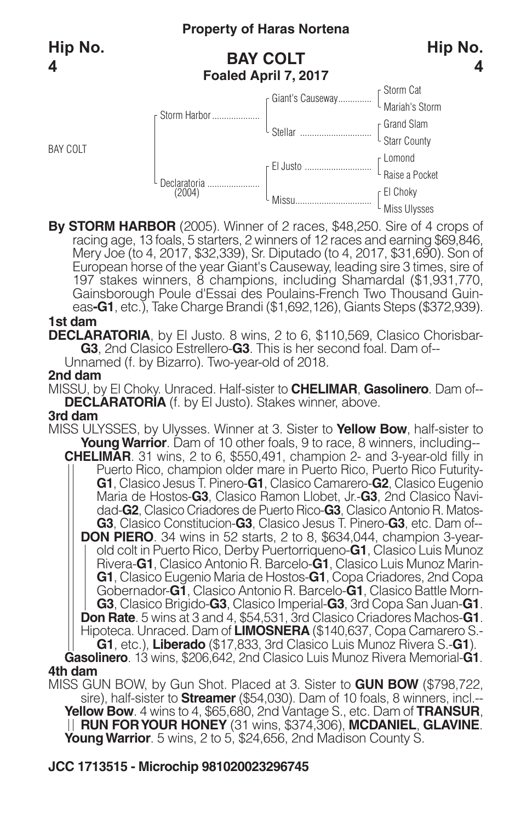BAY COLT

# **Property of Haras Nortena**

# **BAY COLT Foaled April 7, 2017**



**4**



**By STORM HARBOR** (2005). Winner of 2 races, \$48,250. Sire of 4 crops of racing age, <sup>13</sup> foals, <sup>5</sup> starters, <sup>2</sup> winners of <sup>12</sup> races and earning \$69,846, Mery Joe (to 4, 2017, \$32,339), Sr. Diputado (to 4, 2017, \$31,690). Son of European horse of the year Giant's Causeway, leading sire 3 times, sire of 197 stakes winners, 8 champions, including Shamardal (\$1,931,770, Gainsborough Poule d'Essai des Poulains-French Two Thousand Guineas**-G1**, etc.), Take Charge Brandi (\$1,692,126), Giants Steps (\$372,939).

#### **1st dam**

**DECLARATORIA**, by El Justo. 8 wins, 2 to 6, \$110,569, Clasico Chorisbar-**G3**, 2nd Clasico Estrellero-**G3**. This is her second foal. Dam of--

Unnamed (f. by Bizarro). Two-year-old of 2018.

#### **2nd dam**

MISSU, by El Choky. Unraced. Half-sister to **CHELIMAR**, **Gasolinero**. Dam of-- **DECLARATORIA** (f. by El Justo). Stakes winner, above.

#### **3rd dam**

MISS ULYSSES, by Ulysses. Winner at 3. Sister to **Yellow Bow**, half-sister to **Young Warrior**. Dam of 10 other foals, 9 to race, 8 winners, including--**CHELIMAR**. 31 wins, 2 to 6, \$550,491, champion 2- and 3-year-old filly in Puerto Rico, champion older mare in Puerto Rico, Puerto Rico Futurity-**G1**, Clasico Jesus T. Pinero-**G1**, Clasico Camarero-**G2**, Clasico Eugenio Maria de Hostos-**G3**, Clasico Ramon Llobet, Jr.-**G3**, 2nd Clasico Navidad-**G2**, Clasico Criadores de Puerto Rico-**G3**, Clasico Antonio R. Matos-**G3**, Clasico Constitucion-**G3**, Clasico Jesus T. Pinero-**G3**, etc. Dam of-- **DON PIERO**. 34 wins in 52 starts, 2 to 8, \$634,044, champion 3-year-<br>| old colt in Puerto Rico, Derby Puertorriqueno-**G1**, Clasico Luis Munoz Rivera-**G1**, Clasico Antonio R. Barcelo-**G1**, Clasico Luis Munoz Marin-**G1**, Clasico Eugenio Maria de Hostos-**G1**, Copa Criadores, 2nd Copa Gobernador-**G1**, Clasico Antonio R. Barcelo-**G1**, Clasico Battle Morn-**G3**, Clasico Brigido-**G3**, Clasico Imperial-**G3**, 3rd Copa San Juan-**G1**. **Don Rate**. 5 wins at 3 and 4, \$54,531, 3rd Clasico Criadores Machos-**G1**. Hipoteca. Unraced. Dam of **LIMOSNERA** (\$140,637, Copa Camarero S.- **G1**, etc.), **Liberado** (\$17,833, 3rd Clasico Luis Munoz Rivera S.-**G1**).

**Gasolinero**. 13 wins, \$206,642, 2nd Clasico Luis Munoz Rivera Memorial-**G1**. **4th dam**

MISS GUN BOW, by Gun Shot. Placed at 3. Sister to **GUN BOW** (\$798,722, sire), half-sister to **Streamer** (\$54,030). Dam of 10 foals, 8 winners, incl.-- **Yellow Bow**. 4 wins to 4, \$65,680, 2nd Vantage S., etc. Dam of **TRANSUR**, **RUN FORYOUR HONEY** (31 wins, \$374,306), **MCDANIEL**, **GLAVINE**. **Young Warrior**. 5 wins, 2 to 5, \$24,656, 2nd Madison County S.

### **JCC 1713515 - Microchip 981020023296745**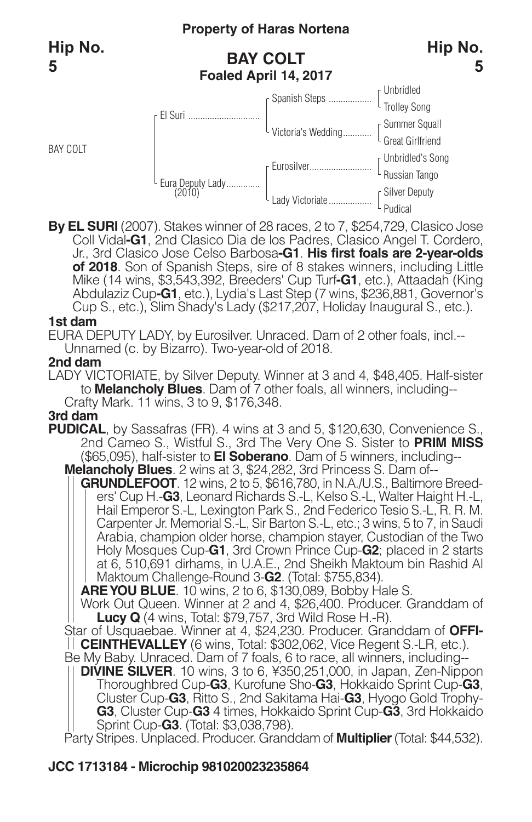BAY COLT

# **Property of Haras Nortena**

# **BAY COLT Foaled April 14, 2017**



#### Unbridled Trolley Song Summer Squall Great Girlfriend Unbridled's Song Russian Tango Silver Deputy Pudical Spanish Steps .................. Victoria's Wedding............ Eurosilver.......................... Lady Victoriate................. El Suri .............................. Eura Deputy Lady.............. (2010)

**By EL SURI** (2007). Stakes winner of 28 races, 2 to 7, \$254,729, Clasico Jose Coll Vidal**-G1**, 2nd Clasico Dia de los Padres, Clasico Angel T. Cordero, Jr., 3rd Clasico Jose Celso Barbosa**-G1**. **His first foals are 2-year-olds of 2018**. Son of Spanish Steps, sire of 8 stakes winners, including Little Mike (14 wins, \$3,543,392, Breeders' Cup Turf**-G1**, etc.), Attaadah (King Abdulaziz Cup**-G1**, etc.), Lydia's Last Step (7 wins, \$236,881, Governor's Cup S., etc.), Slim Shady's Lady (\$217,207, Holiday Inaugural S., etc.).

#### **1st dam**

EURA DEPUTY LADY, by Eurosilver. Unraced. Dam of 2 other foals, incl.-- Unnamed (c. by Bizarro). Two-year-old of 2018.

#### **2nd dam**

LADY VICTORIATE, by Silver Deputy. Winner at 3 and 4, \$48,405. Half-sister to **Melancholy Blues**. Dam of 7 other foals, all winners, including-- Crafty Mark. 11 wins, 3 to 9, \$176,348.

#### **3rd dam**

- **PUDICAL**, by Sassafras (FR). 4 wins at 3 and 5, \$120,630, Convenience S., 2nd Cameo S., Wistful S., 3rd The Very One S. Sister to **PRIM MISS** (\$65,095), half-sister to **El Soberano**. Dam of 5 winners, including-- **Melancholy Blues**. 2 wins at 3, \$24,282, 3rd Princess S. Dam of--
	- **GRUNDLEFOOT**. 12 wins, 2 to 5, \$616,780, in N.A./U.S., Baltimore Breeders' Cup H.-**G3**, Leonard Richards S.-L, Kelso S.-L, Walter Haight H.-L, Hail Emperor S.-L, Lexington Park S., 2nd Federico Tesio S.-L, R. R. M. Carpenter Jr. Memorial S.-L, Sir Barton S.-L, etc.; 3 wins, 5 to 7, in Saudi Arabia, champion older horse, champion stayer, Custodian of the Two Holy Mosques Cup-**G1**, 3rd Crown Prince Cup-**G2**; placed in 2 starts at 6, 510,691 dirhams, in U.A.E., 2nd Sheikh Maktoum bin Rashid Al Maktoum Challenge-Round 3-**G2**. (Total: \$755,834).

**AREYOU BLUE**. 10 wins, 2 to 6, \$130,089, Bobby Hale S.

Work Out Queen. Winner at 2 and 4, \$26,400. Producer. Granddam of **Lucy Q** (4 wins, Total: \$79,757, 3rd Wild Rose H.-R).

Star of Usquaebae. Winner at 4, \$24,230. Producer. Granddam of **OFFI-CEINTHEVALLEY** (6 wins, Total: \$302,062, Vice Regent S.-LR, etc.).

Be My Baby. Unraced. Dam of 7 foals, 6 to race, all winners, including--

**DIVINE SILVER**. 10 wins, 3 to 6, ¥350,251,000, in Japan, Zen-Nippon Thoroughbred Cup-**G3**, Kurofune Sho-**G3**, Hokkaido Sprint Cup-**G3**, Cluster Cup-**G3**, Ritto S., 2nd Sakitama Hai-**G3**, Hyogo Gold Trophy-**G3**, Cluster Cup-**G3** 4 times, Hokkaido Sprint Cup-**G3**, 3rd Hokkaido Sprint Cup-**G3**. (Total: \$3,038,798).

Party Stripes. Unplaced. Producer. Granddam of **Multiplier**(Total: \$44,532).

# **JCC 1713184 - Microchip 981020023235864**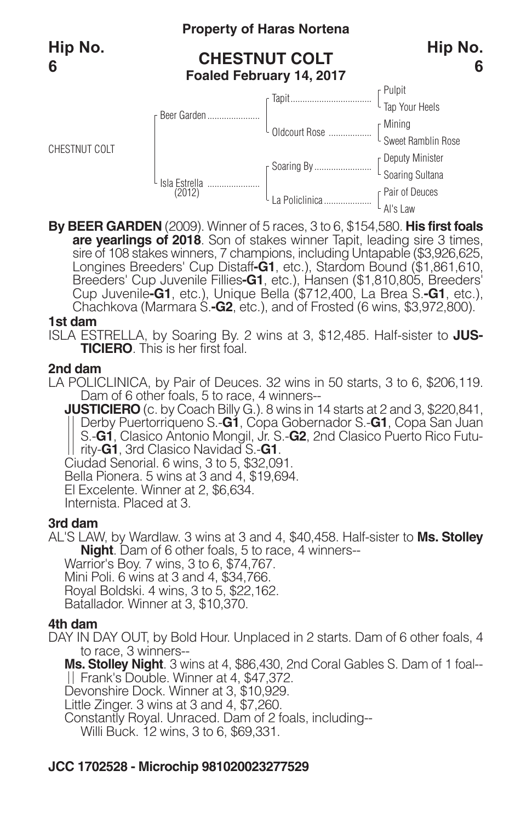CHESTNUT COLT

#### **Property of Haras Nortena**

# **CHESTNUT COLT**



# **Foaled February 14, 2017**



**By BEER GARDEN** (2009). Winner of 5 races, 3 to 6, \$154,580. **His first foals** sire of 108 stakes winners, 7 champions, including Untapable (\$3,926,625, Longines Breeders' Cup Distaff-**G1**, etc.), Stardom Bound (\$1,861,610, Breeders' Cup Juvenile Fillies-**G1**, etc.), Hansen (\$1,810,805, Breeders' Cup Juvenile**-G1**, etc.), Unique Bella (\$712,400, La Brea S.**-G1**, etc.), Chachkova (Marmara S.**-G2**, etc.), and of Frosted (6 wins, \$3,972,800).

#### **1st dam**

ISLA ESTRELLA, by Soaring By. 2 wins at 3, \$12,485. Half-sister to **JUS-TICIERO**. This is her first foal.

#### **2nd dam**

LA POLICLINICA, by Pair of Deuces. 32 wins in 50 starts, 3 to 6, \$206,119. Dam of 6 other foals, 5 to race, 4 winners--

**JUSTICIERO** (c. by Coach Billy G.). 8 wins in 14 starts at 2 and 3, \$220,841, Derby Puertorriqueno S.-**G1**, Copa Gobernador S.-**G1**, Copa San Juan S.-**G1**, Clasico Antonio Mongil, Jr. S.-**G2**, 2nd Clasico Puerto Rico Futurity-**G1**, 3rd Clasico Navidad S.-**G1**.

Ciudad Senorial. 6 wins, 3 to 5, \$32,091.

Bella Pionera. 5 wins at 3 and 4, \$19,694.

El Excelente. Winner at 2, \$6,634.

Internista. Placed at 3.

#### **3rd dam**

AL'S LAW, by Wardlaw. 3 wins at 3 and 4, \$40,458. Half-sister to **Ms. Stolley Night**. Dam of 6 other foals, 5 to race, 4 winners--

Warrior's Boy. 7 wins, 3 to 6, \$74,767.

Mini Poli. 6 wins at 3 and 4, \$34,766.

Royal Boldski. 4 wins, 3 to 5, \$22,162.

Batallador. Winner at 3, \$10,370.

#### **4th dam**

DAY IN DAY OUT, by Bold Hour. Unplaced in 2 starts. Dam of 6 other foals, 4 to race, 3 winners--

**Ms. Stolley Night**. 3 wins at 4, \$86,430, 2nd Coral Gables S. Dam of 1 foal--

Frank's Double. Winner at 4, \$47,372.

Devonshire Dock. Winner at 3, \$10,929.

Little Zinger. 3 wins at 3 and 4, \$7,260.

Constantly Royal. Unraced. Dam of 2 foals, including--

Willi Buck. 12 wins, 3 to 6, \$69,331.

# **JCC 1702528 - Microchip 981020023277529**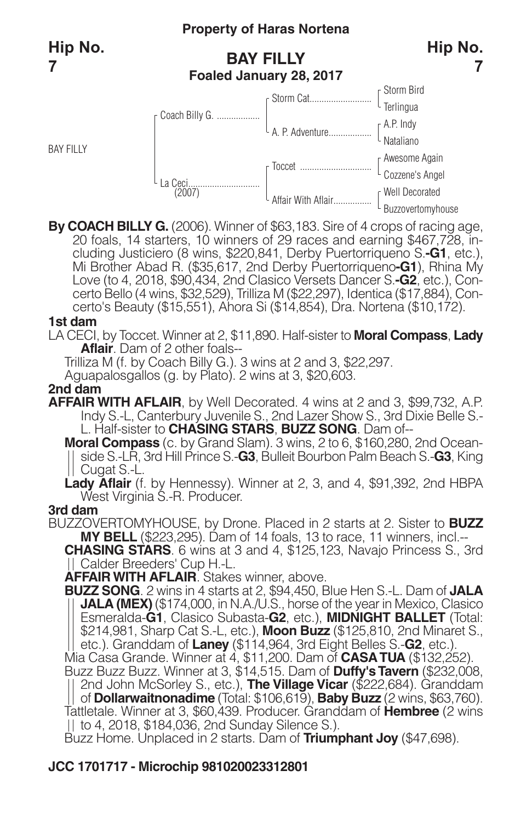# **Property of Haras Nortena**

# **BAY FILLY Foaled January 28, 2017**



By COACH BILLY G. (2006). Winner of \$63,183. Sire of 4 crops of racing age,<br>20 foals, 14 starters, 10 winners of 29 races and earning \$467,728, in-<br>cluding Justiciero (8 wins, \$220,841, Derby Puertorriqueno S.-G1, etc.),<br>M Love (to 4, 2018, \$90,434, 2nd Clasico Versets Dancer S.**-G2**, etc.), Concerto Bello (4 wins, \$32,529), Trilliza M (\$22,297), Identica (\$17,884), Concerto's Beauty (\$15,551), Ahora Si (\$14,854), Dra. Nortena (\$10,172).

#### **1st dam**

LA CECI, by Toccet. Winner at 2, \$11,890. Half-sister to **Moral Compass**, **Lady Aflair**. Dam of 2 other foals--

Trilliza M (f. by Coach Billy G.). 3 wins at 2 and 3, \$22,297.

Aguapalosgallos (g. by Plato). 2 wins at 3, \$20,603.

#### **2nd dam**

**AFFAIR WITH AFLAIR**, by Well Decorated. 4 wins at 2 and 3, \$99,732, A.P. Indy S.-L, Canterbury Juvenile S., 2nd Lazer Show S., 3rd Dixie Belle S.- L. Half-sister to **CHASING STARS**, **BUZZ SONG**. Dam of--

**Moral Compass** (c. by Grand Slam). 3 wins, 2 to 6, \$160,280, 2nd Oceanside S.-LR, 3rd Hill Prince S.-**G3**, Bulleit Bourbon Palm Beach S.-**G3**, King Cugat S.-L.

**Lady Aflair** (f. by Hennessy). Winner at 2, 3, and 4, \$91,392, 2nd HBPA West Virginia S.-R. Producer.

#### **3rd dam**

BUZZOVERTOMYHOUSE, by Drone. Placed in 2 starts at 2. Sister to **BUZZ MY BELL** (\$223,295). Dam of 14 foals, 13 to race, 11 winners, incl.--

**CHASING STARS**. 6 wins at 3 and 4, \$125,123, Navajo Princess S., 3rd Calder Breeders' Cup H.-L.

**AFFAIRWITH AFLAIR**. Stakes winner, above.

**BUZZ SONG**. 2 wins in 4 starts at 2, \$94,450, Blue Hen S.-L. Dam of **JALA JALA (MEX)** (\$174,000, in N.A./U.S., horse of the year in Mexico, Clasico Esmeralda-**G1**, Clasico Subasta-**G2**, etc.), **MIDNIGHT BALLET** (Total: \$214,981, Sharp Cat S.-L, etc.), **Moon Buzz** (\$125,810, 2nd Minaret S., etc.). Granddam of **Laney** (\$114,964, 3rd Eight Belles S.-**G2**, etc.).

Mia Casa Grande. Winner at 4, \$11,200. Dam of **CASATUA** (\$132,252). Buzz Buzz Buzz. Winner at 3, \$14,515. Dam of **Duffy'sTavern** (\$232,008,

2nd John McSorley S., etc.), **The Village Vicar** (\$222,684). Granddam of **Dollarwaitnonadime** (Total: \$106,619), **Baby Buzz** (2 wins, \$63,760). Tattletale. Winner at 3, \$60,439. Producer. Granddam of **Hembree** (2 wins

to 4, 2018, \$184,036, 2nd Sunday Silence S.).

Buzz Home. Unplaced in 2 starts. Dam of **Triumphant Joy** (\$47,698).

# **JCC 1701717 - Microchip 981020023312801**

**7**

**Hip No.**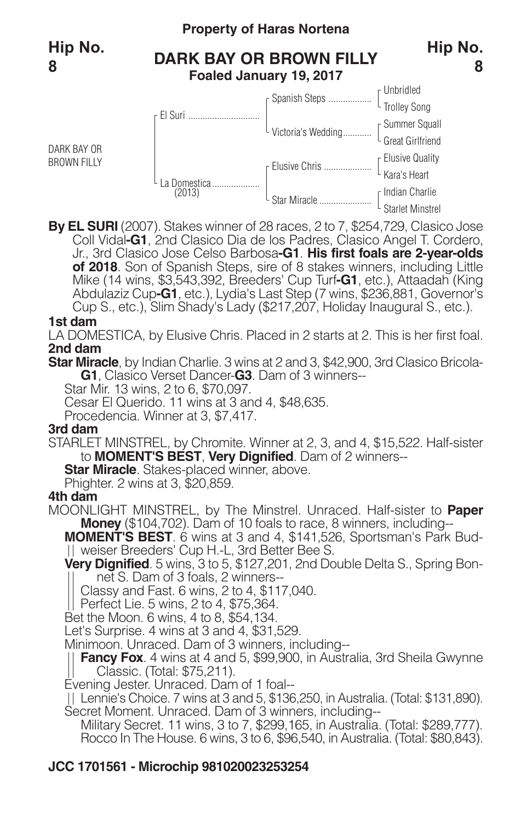DARK BAY OR BROWN FILLY

# **Property of Haras Nortena**

# **DARK BAY OR BROWN FILLY Foaled January 19, 2017**

#### **8**



**By EL SURI** (2007). Stakes winner of 28 races, 2 to 7, \$254,729, Clasico Jose Coll Vidal**-G1**, 2nd Clasico Dia de los Padres, Clasico Angel T. Cordero, Jr., 3rd Clasico Jose Celso Barbosa**-G1**. **His first foals are 2-year-olds of 2018**. Son of Spanish Steps, sire of 8 stakes winners, including Little Mike (14 wins, \$3,543,392, Breeders' Cup Turf**-G1**, etc.), Attaadah (King Abdulaziz Cup**-G1**, etc.), Lydia's Last Step (7 wins, \$236,881, Governor's Cup S., etc.), Slim Shady's Lady (\$217,207, Holiday Inaugural S., etc.).

#### **1st dam**

LA DOMESTICA, by Elusive Chris. Placed in 2 starts at 2. This is her first foal. **2nd dam**

**Star Miracle**, by Indian Charlie. 3 wins at 2 and 3, \$42,900, 3rd Clasico Bricola-**G1**, Clasico Verset Dancer-**G3**. Dam of 3 winners--

Star Mir. 13 wins, 2 to 6, \$70,097.

Cesar El Querido. 11 wins at 3 and 4, \$48,635.

Procedencia. Winner at 3, \$7,417.

#### **3rd dam**

STARLET MINSTREL, by Chromite. Winner at 2, 3, and 4, \$15,522. Half-sister to **MOMENT'S BEST**, **Very Dignified**. Dam of 2 winners--

**Star Miracle**. Stakes-placed winner, above.

Phighter. 2 wins at 3, \$20,859.

#### **4th dam**

MOONLIGHT MINSTREL, by The Minstrel. Unraced. Half-sister to **Paper Money** (\$104,702). Dam of 10 foals to race, 8 winners, including--

**MOMENT'S BEST**. 6 wins at 3 and 4, \$141,526, Sportsman's Park Budweiser Breeders' Cup H.-L, 3rd Better Bee S.

**Very Dignified**. 5 wins, 3 to 5, \$127,201, 2nd Double Delta S., Spring Bonnet S. Dam of 3 foals, 2 winners--

Classy and Fast. 6 wins, 2 to 4, \$117,040.

Perfect Lie. 5 wins, 2 to 4, \$75,364.

Bet the Moon. 6 wins, 4 to 8, \$54,134.

Let's Surprise. 4 wins at 3 and 4, \$31,529.

Minimoon. Unraced. Dam of 3 winners, including--

**Fancy Fox**. 4 wins at 4 and 5, \$99,900, in Australia, 3rd Sheila Gwynne Classic. (Total: \$75,211).

Evening Jester. Unraced. Dam of 1 foal--

Lennie's Choice. 7 wins at 3 and 5, \$136,250, in Australia. (Total: \$131,890). Secret Moment. Unraced. Dam of 3 winners, including--

Military Secret. 11 wins, 3 to 7, \$299,165, in Australia. (Total: \$289,777). Rocco In The House. 6 wins, 3 to 6, \$96,540, in Australia. (Total: \$80,843).

### **JCC 1701561 - Microchip 981020023253254**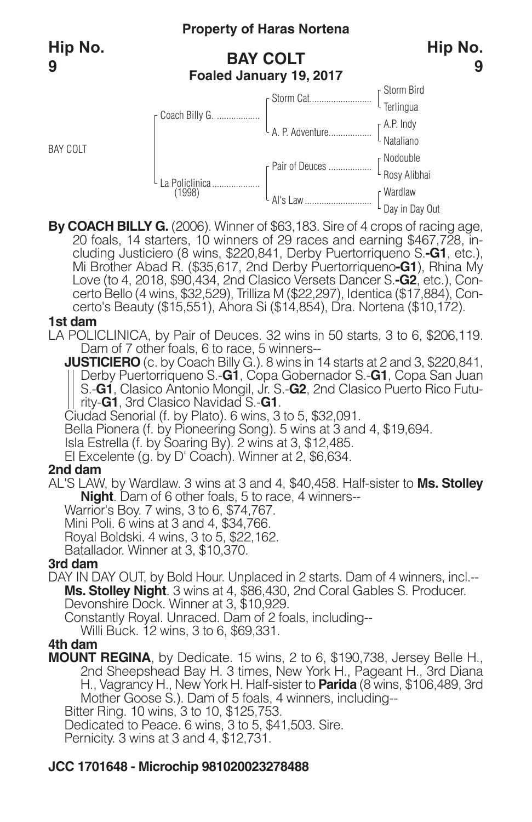BAY COLT

# **Property of Haras Nortena**

# **BAY COLT Foaled January 19, 2017**



By COACH BILLY G. (2006). Winner of \$63,183. Sire of 4 crops of racing age,<br>20 foals, 14 starters, 10 winners of 29 races and earning \$467,728, in-<br>cluding Justiciero (8 wins, \$220,841, Derby Puertorriqueno S.-G1, etc.),<br>M Love (to 4, 2018, \$90,434, 2nd Clasico Versets Dancer S.**-G2**, etc.), Concerto Bello (4 wins, \$32,529), Trilliza M (\$22,297), Identica (\$17,884), Concerto's Beauty (\$15,551), Ahora Si (\$14,854), Dra. Nortena (\$10,172).

#### **1st dam**

LA POLICLINICA, by Pair of Deuces. 32 wins in 50 starts, 3 to 6, \$206,119. Dam of 7 other foals, 6 to race, 5 winners--

**JUSTICIERO** (c. by Coach Billy G.). 8 wins in 14 starts at 2 and 3, \$220,841, Derby Puertorriqueno S.-**G1**, Copa Gobernador S.-**G1**, Copa San Juan S.-**G1**, Clasico Antonio Mongil, Jr. S.-**G2**, 2nd Clasico Puerto Rico Futurity-**G1**, 3rd Clasico Navidad S.-**G1**.

Ciudad Senorial (f. by Plato). 6 wins, 3 to 5, \$32,091.

Bella Pionera (f. by Pioneering Song). 5 wins at 3 and 4, \$19,694.

Isla Estrella (f. by Soaring By). 2 wins at 3, \$12,485.

El Excelente (g. by D' Coach). Winner at 2, \$6,634.

#### **2nd dam**

AL'S LAW, by Wardlaw. 3 wins at 3 and 4, \$40,458. Half-sister to **Ms. Stolley Night**. Dam of 6 other foals, 5 to race, 4 winners--

Warrior's Boy. 7 wins, 3 to 6, \$74,767.

Mini Poli. 6 wins at 3 and 4, \$34,766.

Royal Boldski. 4 wins, 3 to 5, \$22,162.

Batallador. Winner at 3, \$10,370.

#### **3rd dam**

DAY IN DAY OUT, by Bold Hour. Unplaced in 2 starts. Dam of 4 winners, incl.-- **Ms. Stolley Night**. 3 wins at 4, \$86,430, 2nd Coral Gables S. Producer. Devonshire Dock. Winner at 3, \$10,929.

Constantly Royal. Unraced. Dam of 2 foals, including--

Willi Buck. 12 wins, 3 to 6, \$69,331.

#### **4th dam**

**MOUNT REGINA**, by Dedicate. 15 wins, 2 to 6, \$190,738, Jersey Belle H., 2nd Sheepshead Bay H. 3 times, New York H., Pageant H., 3rd Diana H., Vagrancy H., New York H. Half-sister to **Parida** (8 wins, \$106,489, 3rd Mother Goose S.). Dam of 5 foals, 4 winners, including--

Bitter Ring. 10 wins, 3 to 10, \$125,753.

Dedicated to Peace. 6 wins, 3 to 5, \$41,503. Sire.

Pernicity. 3 wins at 3 and 4, \$12,731.

### **JCC 1701648 - Microchip 981020023278488**

**Hip No.**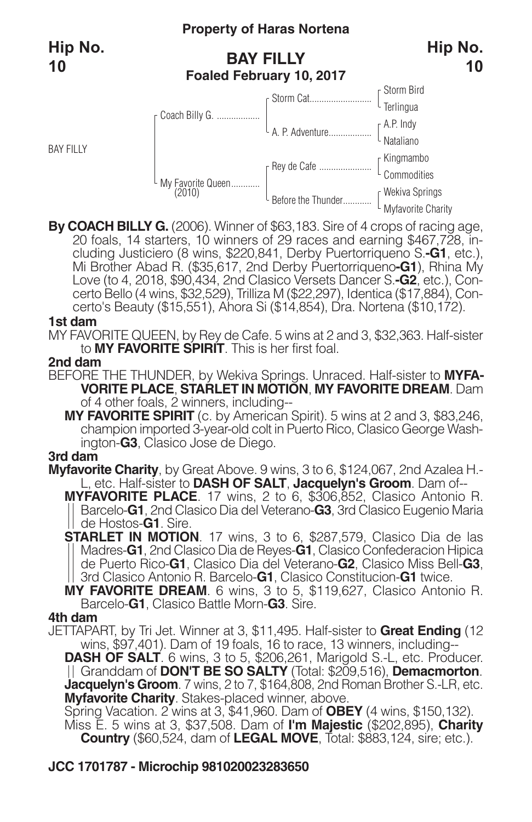#### **Property of Haras Nortena**

# **BAY FILLY Foaled February 10, 2017**



By COACH BILLY G. (2006). Winner of \$63,183. Sire of 4 crops of racing age,<br>20 foals, 14 starters, 10 winners of 29 races and earning \$467,728, in-<br>cluding Justiciero (8 wins, \$220,841, Derby Puertorriqueno S.-G1, etc.),<br>M Love (to 4, 2018, \$90,434, 2nd Clasico Versets Dancer S.**-G2**, etc.), Concerto Bello (4 wins, \$32,529), Trilliza M (\$22,297), Identica (\$17,884), Concerto's Beauty (\$15,551), Ahora Si (\$14,854), Dra. Nortena (\$10,172).

#### **1st dam**

MY FAVORITE QUEEN, by Rey de Cafe. 5 wins at 2 and 3, \$32,363. Half-sister to **MY FAVORITE SPIRIT**. This is her first foal.

#### **2nd dam**

BEFORE THE THUNDER, by Wekiva Springs. Unraced. Half-sister to **MYFA-VORITE PLACE**, **STARLET IN MOTION**, **MY FAVORITE DREAM**. Dam of 4 other foals, 2 winners, including--

**MY FAVORITE SPIRIT** (c. by American Spirit). 5 wins at 2 and 3, \$83,246, champion imported 3-year-old colt in Puerto Rico, Clasico George Washington-**G3**, Clasico Jose de Diego.

#### **3rd dam**

**Myfavorite Charity**, by Great Above. 9 wins, 3 to 6, \$124,067, 2nd Azalea H.- L, etc. Half-sister to **DASH OF SALT**, **Jacquelyn's Groom**. Dam of--

**MYFAVORITE PLACE**. 17 wins, 2 to 6, \$306,852, Clasico Antonio R. Barcelo-**G1**, 2nd Clasico Dia del Veterano-**G3**, 3rd Clasico Eugenio Maria de Hostos-**G1**. Sire.

**STARLET IN MOTION**. 17 wins, 3 to 6, \$287,579, Clasico Dia de las Madres-**G1**, 2nd Clasico Dia de Reyes-**G1**, Clasico Confederacion Hipica de Puerto Rico-**G1**, Clasico Dia del Veterano-**G2**, Clasico Miss Bell-**G3**, 3rd Clasico Antonio R. Barcelo-**G1**, Clasico Constitucion-**G1** twice.

**MY FAVORITE DREAM**. 6 wins, 3 to 5, \$119,627, Clasico Antonio R. Barcelo-**G1**, Clasico Battle Morn-**G3**. Sire.

#### **4th dam**

JETTAPART, by Tri Jet. Winner at 3, \$11,495. Half-sister to **Great Ending** (12 wins, \$97,401). Dam of 19 foals, 16 to race, 13 winners, including--

**DASH OF SALT**. 6 wins, 3 to 5, \$206,261, Marigold S.-L, etc. Producer. Granddam of **DON'T BE SO SALTY** (Total: \$209,516), **Demacmorton**. **Jacquelyn's Groom**. 7 wins, 2 to 7, \$164,808, 2nd Roman Brother S.-LR, etc. **Myfavorite Charity**. Stakes-placed winner, above.

Spring Vacation. 2 wins at 3, \$41,960. Dam of **OBEY** (4 wins, \$150,132). Miss E. 5 wins at 3, \$37,508. Dam of **I'm Majestic** (\$202,895), **Charity Country** (\$60,524, dam of **LEGAL MOVE**, Total: \$883,124, sire; etc.).

### **JCC 1701787 - Microchip 981020023283650**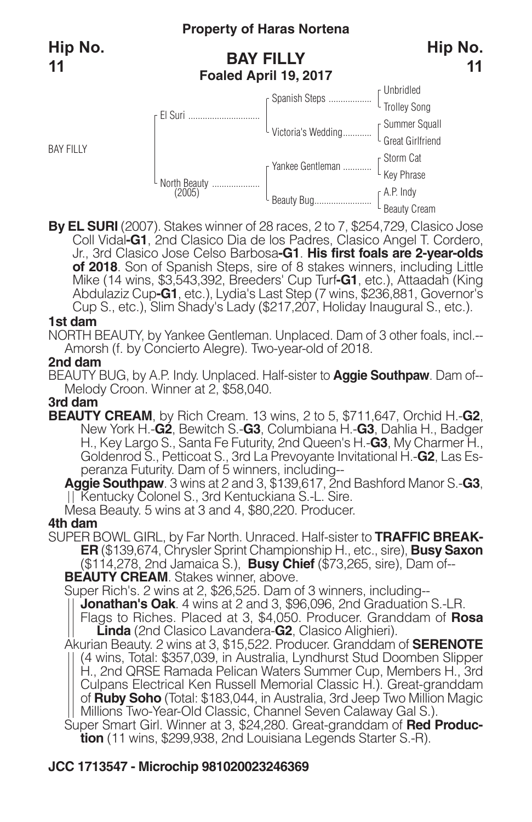# **BAY FILLY Foaled April 19, 2017**



**By EL SURI** (2007). Stakes winner of 28 races, 2 to 7, \$254,729, Clasico Jose Coll Vidal**-G1**, 2nd Clasico Dia de los Padres, Clasico Angel T. Cordero, Jr., 3rd Clasico Jose Celso Barbosa**-G1**. **His first foals are 2-year-olds of 2018**. Son of Spanish Steps, sire of 8 stakes winners, including Little Mike (14 wins, \$3,543,392, Breeders' Cup Turf**-G1**, etc.), Attaadah (King Abdulaziz Cup**-G1**, etc.), Lydia's Last Step (7 wins, \$236,881, Governor's Cup S., etc.), Slim Shady's Lady (\$217,207, Holiday Inaugural S., etc.).

#### **1st dam**

NORTH BEAUTY, by Yankee Gentleman. Unplaced. Dam of 3 other foals, incl.-- Amorsh (f. by Concierto Alegre). Two-year-old of 2018.

#### **2nd dam**

BEAUTY BUG, by A.P. Indy. Unplaced. Half-sister to **Aggie Southpaw**. Dam of-- Melody Croon. Winner at 2, \$58,040.

#### **3rd dam**

**BEAUTY CREAM**, by Rich Cream. 13 wins, 2 to 5, \$711,647, Orchid H.-**G2**, New York H.-**G2**, Bewitch S.-**G3**, Columbiana H.-**G3**, Dahlia H., Badger H., Key Largo S., Santa Fe Futurity, 2nd Queen's H.-**G3**, My Charmer H., Goldenrod S., Petticoat S., 3rd La Prevoyante Invitational H.-**G2**, Las Esperanza Futurity. Dam of 5 winners, including--

**Aggie Southpaw**. 3 wins at 2 and 3, \$139,617, 2nd Bashford Manor S.-**G3**, Kentucky Colonel S., 3rd Kentuckiana S.-L. Sire.

Mesa Beauty. 5 wins at 3 and 4, \$80,220. Producer.

#### **4th dam**

SUPER BOWL GIRL, by Far North. Unraced. Half-sister to **TRAFFIC BREAK-ER** (\$139,674, Chrysler Sprint Championship H., etc., sire), **Busy Saxon** (\$114,278, 2nd Jamaica S.), **Busy Chief** (\$73,265, sire), Dam of--

**BEAUTY CREAM**. Stakes winner, above.

Super Rich's. 2 wins at 2, \$26,525. Dam of 3 winners, including--

**Jonathan's Oak**. 4 wins at 2 and 3, \$96,096, 2nd Graduation S.-LR.

Flags to Riches. Placed at 3, \$4,050. Producer. Granddam of **Rosa Linda** (2nd Clasico Lavandera-**G2**, Clasico Alighieri).

Akurian Beauty. 2 wins at 3, \$15,522. Producer. Granddam of **SERENOTE** (4 wins, Total: \$357,039, in Australia, Lyndhurst Stud Doomben Slipper H., 2nd QRSE Ramada Pelican Waters Summer Cup, Members H., 3rd Culpans Electrical Ken Russell Memorial Classic H.). Great-granddam of **Ruby Soho** (Total: \$183,044, in Australia, 3rd Jeep Two Million Magic Millions Two-Year-Old Classic, Channel Seven Calaway Gal S.).

Super Smart Girl. Winner at 3, \$24,280. Great-granddam of **Red Production** (11 wins, \$299,938, 2nd Louisiana Legends Starter S.-R).

### **JCC 1713547 - Microchip 981020023246369**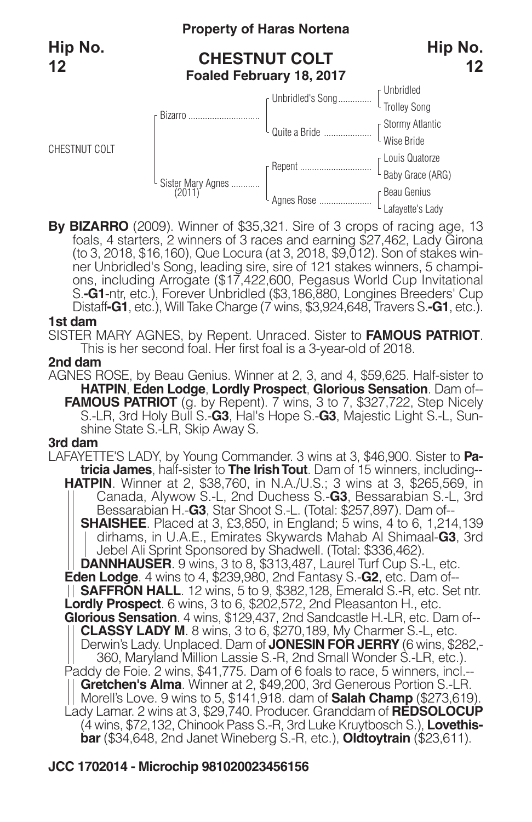

**By BIZARRO** (2009). Winner of \$35,321. Sire of 3 crops of racing age, 13 foals, 4 starters, 2 winners of 3 races and earning \$27,462, Lady Girona her Unbridled's Song, leading sire, sire of 121 stakes winners, 5 champions, including Arrogate (\$17,422,600, Pegasus World Cup Invitational S.**-G1**-ntr, etc.), Forever Unbridled (\$3,186,880, Longines Breeders' Cup Distaff**-G1**, etc.), Will Take Charge (7 wins, \$3,924,648, Travers S.**-G1**, etc.).

#### **1st dam**

SISTER MARY AGNES, by Repent. Unraced. Sister to **FAMOUS PATRIOT**. This is her second foal. Her first foal is a 3-year-old of 2018.

#### **2nd dam**

AGNES ROSE, by Beau Genius. Winner at 2, 3, and 4, \$59,625. Half-sister to **HATPIN**, **Eden Lodge**, **Lordly Prospect**, **Glorious Sensation**. Dam of-- **FAMOUS PATRIOT** (g. by Repent). 7 wins, 3 to 7, \$327,722, Step Nicely S.-LR, 3rd Holy Bull S.-**G3**, Hal's Hope S.-**G3**, Majestic Light S.-L, Sunshine State S.-LR, Skip Away S.

#### **3rd dam**

LAFAYETTE'S LADY, by Young Commander. 3 wins at 3, \$46,900. Sister to **Pa tricia James**, half-sister to **The IrishTout**. Dam of 15 winners, including-- **HATPIN**. Winner at 2, \$38,760, in N.A./U.S.; 3 wins at 3, \$265,569, in Canada, Alywow S.-L, 2nd Duchess S.-**G3**, Bessarabian S.-L, 3rd Bessarabian H.-**G3**, Star Shoot S.-L. (Total: \$257,897). Dam of-- **SHAISHEE**. Placed at 3, £3,850, in England; <sup>5</sup> wins, <sup>4</sup> to 6, 1,214,139 dirhams, in U.A.E., Emirates Skywards Mahab Al Shimaal-**G3**, 3rd Jebel Ali Sprint Sponsored by Shadwell. (Total: \$336,462). **DANNHAUSER**. 9 wins, 3 to 8, \$313,487, Laurel Turf Cup S.-L, etc. **Eden Lodge**. 4 wins to 4, \$239,980, 2nd Fantasy S.-**G2**, etc. Dam of-- **SAFFRON HALL**. 12 wins, 5 to 9, \$382,128, Emerald S.-R, etc. Set ntr. **Lordly Prospect**. 6 wins, 3 to 6, \$202,572, 2nd Pleasanton H., etc. **Glorious Sensation**. 4 wins, \$129,437, 2nd Sandcastle H.-LR, etc. Dam of-- **CLASSY LADY M**. 8 wins, 3 to 6, \$270,189, My Charmer S.-L, etc. Derwin's Lady. Unplaced. Dam of **JONESIN FOR JERRY** (6 wins, \$282,- 360, Maryland Million Lassie S.-R, 2nd Small Wonder S.-LR, etc.). Paddy de Foie. 2 wins, \$41,775. Dam of 6 foals to race, 5 winners, incl.-- **Gretchen's Alma**. Winner at 2, \$49,200, 3rd Generous Portion S.-LR. Morell's Love. 9 wins to 5, \$141,918. dam of **Salah Champ** (\$273,619). Lady Lamar. 2 wins at 3, \$29,740. Producer. Granddam of **REDSOLOCUP** (4 wins, \$72,132, Chinook Pass S.-R, 3rd Luke Kruytbosch S.), **Lovethisbar** (\$34,648, 2nd Janet Wineberg S.-R, etc.), **Oldtoytrain** (\$23,611).

#### **JCC 1702014 - Microchip 981020023456156**